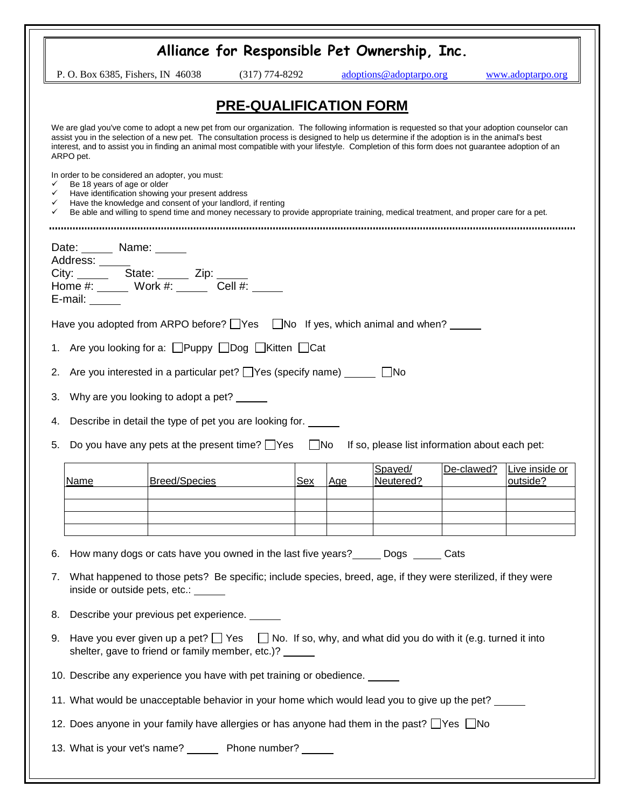|                                                                                                                                                                                                                                                                                                                                                                                                                                                             | Alliance for Responsible Pet Ownership, Inc. |     |     |                         |            |                            |  |
|-------------------------------------------------------------------------------------------------------------------------------------------------------------------------------------------------------------------------------------------------------------------------------------------------------------------------------------------------------------------------------------------------------------------------------------------------------------|----------------------------------------------|-----|-----|-------------------------|------------|----------------------------|--|
| P. O. Box 6385, Fishers, IN 46038                                                                                                                                                                                                                                                                                                                                                                                                                           | $(317) 774 - 8292$                           |     |     | adoptions@adoptarpo.org |            | www.adoptarpo.org          |  |
| <b>PRE-QUALIFICATION FORM</b>                                                                                                                                                                                                                                                                                                                                                                                                                               |                                              |     |     |                         |            |                            |  |
| We are glad you've come to adopt a new pet from our organization. The following information is requested so that your adoption counselor can<br>assist you in the selection of a new pet. The consultation process is designed to help us determine if the adoption is in the animal's best<br>interest, and to assist you in finding an animal most compatible with your lifestyle. Completion of this form does not guarantee adoption of an<br>ARPO pet. |                                              |     |     |                         |            |                            |  |
| In order to be considered an adopter, you must:<br>Be 18 years of age or older<br>✓<br>Have identification showing your present address<br>✓<br>Have the knowledge and consent of your landlord, if renting<br>✓<br>Be able and willing to spend time and money necessary to provide appropriate training, medical treatment, and proper care for a pet.                                                                                                    |                                              |     |     |                         |            |                            |  |
| Date: Name: Name:<br>Address: ______<br>E-mail: $\_\_\_\_\_\_\$                                                                                                                                                                                                                                                                                                                                                                                             |                                              |     |     |                         |            |                            |  |
| Have you adopted from ARPO before? $\Box$ Yes $\Box$ No If yes, which animal and when?                                                                                                                                                                                                                                                                                                                                                                      |                                              |     |     |                         |            |                            |  |
| 1. Are you looking for a: □Puppy □Dog □Kitten □Cat                                                                                                                                                                                                                                                                                                                                                                                                          |                                              |     |     |                         |            |                            |  |
| Are you interested in a particular pet? $\Box$ Yes (specify name) $\Box$ No<br>2.                                                                                                                                                                                                                                                                                                                                                                           |                                              |     |     |                         |            |                            |  |
| Why are you looking to adopt a pet? _____<br>3.                                                                                                                                                                                                                                                                                                                                                                                                             |                                              |     |     |                         |            |                            |  |
| Describe in detail the type of pet you are looking for.<br>4.                                                                                                                                                                                                                                                                                                                                                                                               |                                              |     |     |                         |            |                            |  |
| Do you have any pets at the present time? $\Box$ Yes $\Box$ No<br>If so, please list information about each pet:<br>5.                                                                                                                                                                                                                                                                                                                                      |                                              |     |     |                         |            |                            |  |
| <b>Breed/Species</b><br>Name                                                                                                                                                                                                                                                                                                                                                                                                                                |                                              | Sex | Age | Spayed/<br>Neutered?    | De-clawed? | Live inside or<br>outside? |  |
|                                                                                                                                                                                                                                                                                                                                                                                                                                                             |                                              |     |     |                         |            |                            |  |
|                                                                                                                                                                                                                                                                                                                                                                                                                                                             |                                              |     |     |                         |            |                            |  |
| How many dogs or cats have you owned in the last five years? ______ Dogs ______ Cats<br>6.                                                                                                                                                                                                                                                                                                                                                                  |                                              |     |     |                         |            |                            |  |
| What happened to those pets? Be specific; include species, breed, age, if they were sterilized, if they were<br>7.<br>inside or outside pets, etc.: ______                                                                                                                                                                                                                                                                                                  |                                              |     |     |                         |            |                            |  |
| Describe your previous pet experience.<br>8.                                                                                                                                                                                                                                                                                                                                                                                                                |                                              |     |     |                         |            |                            |  |
| Have you ever given up a pet? $\Box$ Yes $\Box$ No. If so, why, and what did you do with it (e.g. turned it into<br>9.<br>shelter, gave to friend or family member, etc.)? _____                                                                                                                                                                                                                                                                            |                                              |     |     |                         |            |                            |  |
| 10. Describe any experience you have with pet training or obedience.                                                                                                                                                                                                                                                                                                                                                                                        |                                              |     |     |                         |            |                            |  |
| 11. What would be unacceptable behavior in your home which would lead you to give up the pet?                                                                                                                                                                                                                                                                                                                                                               |                                              |     |     |                         |            |                            |  |
| 12. Does anyone in your family have allergies or has anyone had them in the past? Thes Tho                                                                                                                                                                                                                                                                                                                                                                  |                                              |     |     |                         |            |                            |  |
| 13. What is your vet's name? _______ Phone number? ______                                                                                                                                                                                                                                                                                                                                                                                                   |                                              |     |     |                         |            |                            |  |